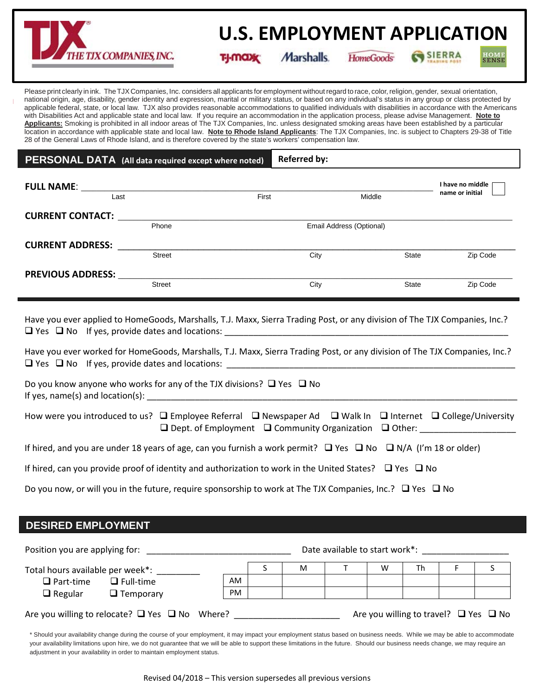

# **EMPLOYMENT APPLICATION U.S. EMPLOYMENT APPLICATION**

**www.tjx.com**

TI-MOXY

Marshalls.

**HomeGoods** 

SIERRA

Please print clearly in ink. TheTJXCompanies, Inc. considers all applicants for employment without regard to race, color, religion, gender, sexual orientation, national origin, age, disability, gender identity and expression, marital or military status, or based on any individual's status in any group or class protected by applicable federal, state, or local law. TJX also provides reasonable accommodations to qualified individuals with disabilities in accordance with the Americans with Disabilities Act and applicable state and local law. If you require an accommodation in the application process, please advise Management. **Note to Applicants:** Smoking is prohibited in all indoor areas of The TJX Companies, Inc. unless designated smoking areas have been established by a particular location in accordance with applicable state and local law. **Note to Rhode Island Applicants**: The TJX Companies, Inc. is subject to Chapters 29-38 of Title 28 of the General Laws of Rhode Island, and is therefore covered by the state's workers' compensation law.

| <b>PERSONAL DATA</b> (All data required except where noted) |               |       | <b>Referred by:</b>      |              |                                     |
|-------------------------------------------------------------|---------------|-------|--------------------------|--------------|-------------------------------------|
| <b>FULL NAME:</b><br>Last                                   |               | First | Middle                   |              | I have no middle<br>name or initial |
| <b>CURRENT CONTACT:</b>                                     | Phone         |       | Email Address (Optional) |              |                                     |
| <b>CURRENT ADDRESS:</b>                                     | <b>Street</b> |       | City                     | <b>State</b> | Zip Code                            |
| <b>PREVIOUS ADDRESS:</b>                                    | <b>Street</b> |       | City                     | <b>State</b> | Zip Code                            |

Have you ever applied to HomeGoods, Marshalls, T.J. Maxx, Sierra Trading Post, or any division of The TJX Companies, Inc.?  $\Box$  Yes  $\Box$  No If yes, provide dates and locations:

Have you ever worked for HomeGoods, Marshalls, T.J. Maxx, Sierra Trading Post, or any division of The TJX Companies, Inc.?  $\Box$  Yes  $\Box$  No If yes, provide dates and locations:

Do you know anyone who works for any of the TJX divisions?  $\Box$  Yes  $\Box$  No If yes, name(s) and  $location(s)$ :

How were you introduced to us?  $\Box$  Employee Referral  $\Box$  Newspaper Ad  $\Box$  Walk In  $\Box$  Internet  $\Box$  College/University  $\square$  Dept. of Employment  $\square$  Community Organization  $\square$  Other:

If hired, and you are under 18 years of age, can you furnish a work permit?  $\Box$  Yes  $\Box$  No  $\Box$  N/A (I'm 18 or older)

If hired, can you provide proof of identity and authorization to work in the United States?  $\Box$  Yes  $\Box$  No

Do you now, or will you in the future, require sponsorship to work at The TJX Companies, Inc.?  $\Box$  Yes  $\Box$  No

**DESIRED EMPLOYMENT**

| Position you are applying for:                           |                  |    | Date available to start work*: |   |  |   |    |  |                                                 |
|----------------------------------------------------------|------------------|----|--------------------------------|---|--|---|----|--|-------------------------------------------------|
| Total hours available per week*:                         |                  |    |                                | M |  | W | Th |  |                                                 |
| $\Box$ Part-time                                         | $\Box$ Full-time | AM |                                |   |  |   |    |  |                                                 |
| $\Box$ Regular                                           | $\Box$ Temporary | PM |                                |   |  |   |    |  |                                                 |
| Are you willing to relocate? $\Box$ Yes $\Box$ No Where? |                  |    |                                |   |  |   |    |  | Are you willing to travel? $\Box$ Yes $\Box$ No |

\* Should your availability change during the course of your employment, it may impact your employment status based on business needs. While we may be able to accommodate your availability limitations upon hire, we do not quarantee that we will be able to support these limitations in the future. Should our business needs change, we may require an adjustment in your availability in order to maintain employment status.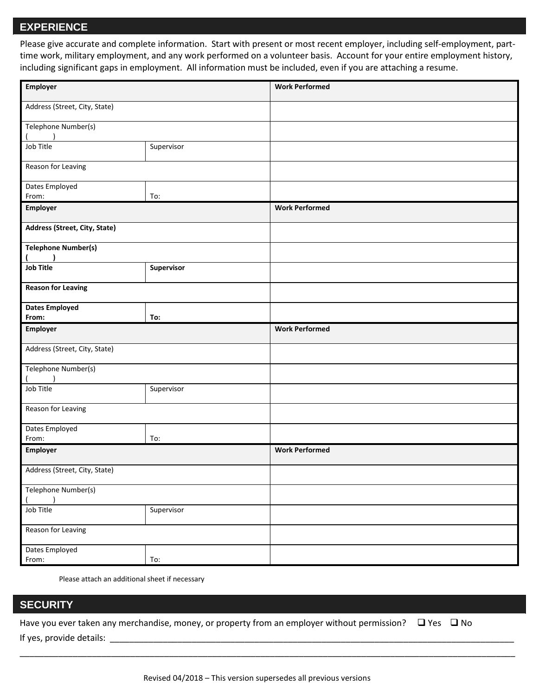#### **EXPERIENCE**

**EXPERIENCE**<br>Please give accurate and complete information. Start with present or most recent employer, including self-employment, parttime work, military employment, and any work performed on a volunteer basis. Account for your entire employment history, including significant gaps in employment. All information must be included, even if you are attaching a resume.

| Employer                       |            | <b>Work Performed</b> |
|--------------------------------|------------|-----------------------|
| Address (Street, City, State)  |            |                       |
| Telephone Number(s)            |            |                       |
| Job Title                      | Supervisor |                       |
| Reason for Leaving             |            |                       |
| Dates Employed<br>From:        | To:        |                       |
| Employer                       |            | <b>Work Performed</b> |
| Address (Street, City, State)  |            |                       |
| <b>Telephone Number(s)</b>     |            |                       |
| <b>Job Title</b>               | Supervisor |                       |
| <b>Reason for Leaving</b>      |            |                       |
| <b>Dates Employed</b><br>From: | To:        |                       |
| Employer                       |            | <b>Work Performed</b> |
|                                |            |                       |
| Address (Street, City, State)  |            |                       |
| Telephone Number(s)            |            |                       |
| Job Title                      | Supervisor |                       |
| Reason for Leaving             |            |                       |
| Dates Employed<br>From:        | To:        |                       |
| Employer                       |            | <b>Work Performed</b> |
| Address (Street, City, State)  |            |                       |
| Telephone Number(s)            |            |                       |
| Job Title                      | Supervisor |                       |
| Reason for Leaving             |            |                       |

Please attach an additional sheet if necessary

#### **SECURITY**

Have you ever taken any merchandise, money, or property from an employer without permission?  $\Box$  Yes  $\Box$  No If yes, provide details:

\_\_\_\_\_\_\_\_\_\_\_\_\_\_\_\_\_\_\_\_\_\_\_\_\_\_\_\_\_\_\_\_\_\_\_\_\_\_\_\_\_\_\_\_\_\_\_\_\_\_\_\_\_\_\_\_\_\_\_\_\_\_\_\_\_\_\_\_\_\_\_\_\_\_\_\_\_\_\_\_\_\_\_\_\_\_\_\_\_\_\_\_\_\_\_\_\_\_\_\_\_\_\_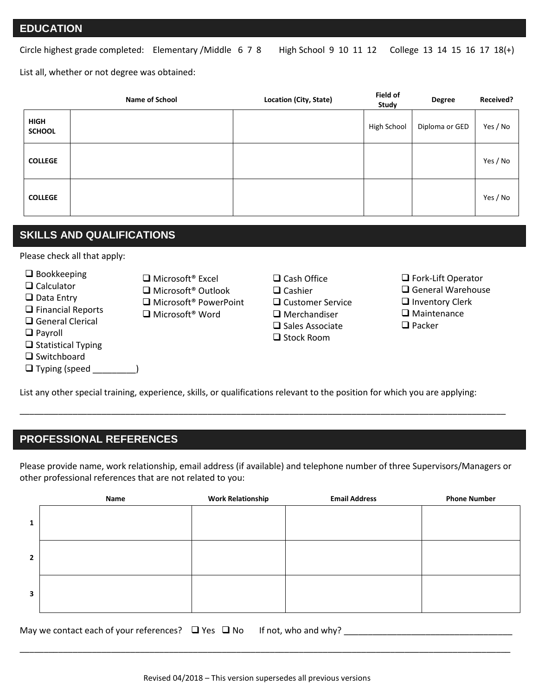**EMPLOYMENT APPLICATION** Circle highest grade completed: Elementary / Middle 6 7 8 High School 9 10 11 12 College 13 14 15 16 17 18(+)

List all, whether or not degree was obtained:

|                              | Name of School | <b>Location (City, State)</b> | Field of<br>Study | <b>Degree</b>  | Received? |
|------------------------------|----------------|-------------------------------|-------------------|----------------|-----------|
| <b>HIGH</b><br><b>SCHOOL</b> |                |                               | High School       | Diploma or GED | Yes / No  |
| <b>COLLEGE</b>               |                |                               |                   |                | Yes / No  |
| <b>COLLEGE</b>               |                |                               |                   |                | Yes / No  |

#### **SKILLS AND QUALIFICATIONS**

Please check all that apply:

 $\square$  Bookkeeping

- **□** Calculator
- □ Data Entry
- **Q** Financial Reports
- □ General Clerical
- **Q** Payroll
- $\square$  Statistical Typing
- **□** Switchboard

 $\Box$  Typing (speed \_\_\_\_\_\_\_\_\_)

- Microsoft<sup>®</sup> Excel ■ Microsoft<sup>®</sup> Outlook □ Microsoft<sup>®</sup> PowerPoint ■ Microsoft<sup>®</sup> Word
- $\Box$  Cash Office  $\Box$  Cashier **□** Customer Service **O** Merchandiser
	- $\square$  Sales Associate  $\Box$  Stock Room
- □ Fork-Lift Operator □ General Warehouse
- $\Box$  Inventory Clerk
- □ Maintenance

 $\Box$  Packer

List any other special training, experience, skills, or qualifications relevant to the position for which you are applying:

### **PROFESSIONAL REFERENCES**

Please provide name, work relationship, email address (if available) and telephone number of three Supervisors/Managers or other professional references that are not related to you:

\_\_\_\_\_\_\_\_\_\_\_\_\_\_\_\_\_\_\_\_\_\_\_\_\_\_\_\_\_\_\_\_\_\_\_\_\_\_\_\_\_\_\_\_\_\_\_\_\_\_\_\_\_\_\_\_\_\_\_\_\_\_\_\_\_\_\_\_\_\_\_\_\_\_\_\_\_\_\_\_\_\_\_\_\_\_\_\_\_\_\_\_\_\_\_\_\_\_\_\_\_

|                | Name | <b>Work Relationship</b> | <b>Email Address</b> | <b>Phone Number</b> |
|----------------|------|--------------------------|----------------------|---------------------|
| $\mathbf{1}$   |      |                          |                      |                     |
| $\overline{2}$ |      |                          |                      |                     |
| 3              |      |                          |                      |                     |

May we contact each of your references?  $\Box$  Yes  $\Box$  No If not, who and why?

\_\_\_\_\_\_\_\_\_\_\_\_\_\_\_\_\_\_\_\_\_\_\_\_\_\_\_\_\_\_\_\_\_\_\_\_\_\_\_\_\_\_\_\_\_\_\_\_\_\_\_\_\_\_\_\_\_\_\_\_\_\_\_\_\_\_\_\_\_\_\_\_\_\_\_\_\_\_\_\_\_\_\_\_\_\_\_\_\_\_\_\_\_\_\_\_\_\_\_\_\_\_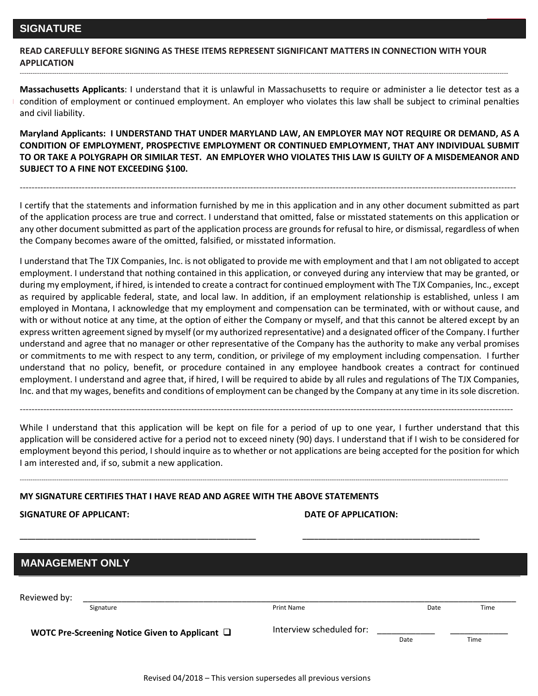**EMPLOYMENT APPLICATION READ CAREFULLY BEFORE SIGNING AS THESE ITEMS REPRESENT SIGNIFICANT MATTERS IN CONNECTION WITH YOUR APPLICATION**

**Massachusetts Applicants**: I understand that it is unlawful in Massachusetts to require or administer a lie detector test as a condition of employment or continued employment. An employer who violates this law shall be subject to criminal penalties and civil liability.

-----------------------------------------------------------------------------------------------------------------------------------------------------------------------------------------------------------------------------------

**Maryland Applicants: I UNDERSTAND THAT UNDER MARYLAND LAW, AN EMPLOYER MAY NOT REQUIRE OR DEMAND, AS A CONDITION OF EMPLOYMENT, PROSPECTIVE EMPLOYMENT OR CONTINUED EMPLOYMENT, THAT ANY INDIVIDUAL SUBMIT TO OR TAKE A POLYGRAPH OR SIMILAR TEST. AN EMPLOYER WHO VIOLATES THIS LAW IS GUILTY OF A MISDEMEANOR AND SUBJECT TO A FINE NOT EXCEEDING \$100.**

I certify that the statements and information furnished by me in this application and in any other document submitted as part of the application process are true and correct. I understand that omitted, false or misstated statements on this application or any other document submitted as part of the application process are grounds for refusal to hire, or dismissal, regardless of when the Company becomes aware of the omitted, falsified, or misstated information.

------------------------------------------------------------------------------------------------------------------------------------------------------------------------

I understand that The TJX Companies, Inc. is not obligated to provide me with employment and that I am not obligated to accept employment. I understand that nothing contained in this application, or conveyed during any interview that may be granted, or during my employment, if hired, is intended to create a contract for continued employment with The TJX Companies, Inc., except as required by applicable federal, state, and local law. In addition, if an employment relationship is established, unless I am employed in Montana, I acknowledge that my employment and compensation can be terminated, with or without cause, and with or without notice at any time, at the option of either the Company or myself, and that this cannot be altered except by an express written agreement signed by myself (or my authorized representative) and a designated officer of the Company. I further understand and agree that no manager or other representative of the Company has the authority to make any verbal promises or commitments to me with respect to any term, condition, or privilege of my employment including compensation. I further understand that no policy, benefit, or procedure contained in any employee handbook creates a contract for continued employment. I understand and agree that, if hired, I will be required to abide by all rules and regulations of The TJX Companies, Inc. and that my wages, benefits and conditions of employment can be changed by the Company at any time in its sole discretion.

While I understand that this application will be kept on file for a period of up to one year, I further understand that this application will be considered active for a period not to exceed ninety (90) days. I understand that if I wish to be considered for employment beyond this period, I should inquire as to whether or not applications are being accepted for the position for which I am interested and, if so, submit a new application.

-----------------------------------------------------------------------------------------------------------------------------------------------------------------------------------------------------------------------------------

**\_\_\_\_\_\_\_\_\_\_\_\_\_\_\_\_\_\_\_\_\_\_\_\_\_\_\_\_\_\_\_\_\_\_\_\_\_\_\_\_\_\_\_\_\_\_\_\_\_\_\_\_\_\_\_\_\_\_\_\_ \_\_\_\_\_\_\_\_\_\_\_\_\_\_\_\_\_\_\_\_\_\_\_\_\_\_\_\_\_\_\_\_\_\_\_\_\_\_\_\_\_\_\_\_\_**

-----------------------------------------------------------------------------------------------------------------------------------------------------------------------

### **MY SIGNATURE CERTIFIES THAT I HAVE READ AND AGREE WITH THE ABOVE STATEMENTS**

**SIGNATURE OF APPLICANT: DATE OF APPLICATION:** 

| <b>MANAGEMENT ONLY</b> |                                                     |                          |      |      |  |  |
|------------------------|-----------------------------------------------------|--------------------------|------|------|--|--|
| Reviewed by:           |                                                     |                          |      |      |  |  |
|                        | Signature                                           | <b>Print Name</b>        | Date | Time |  |  |
|                        | WOTC Pre-Screening Notice Given to Applicant $\Box$ | Interview scheduled for: | Date | Time |  |  |